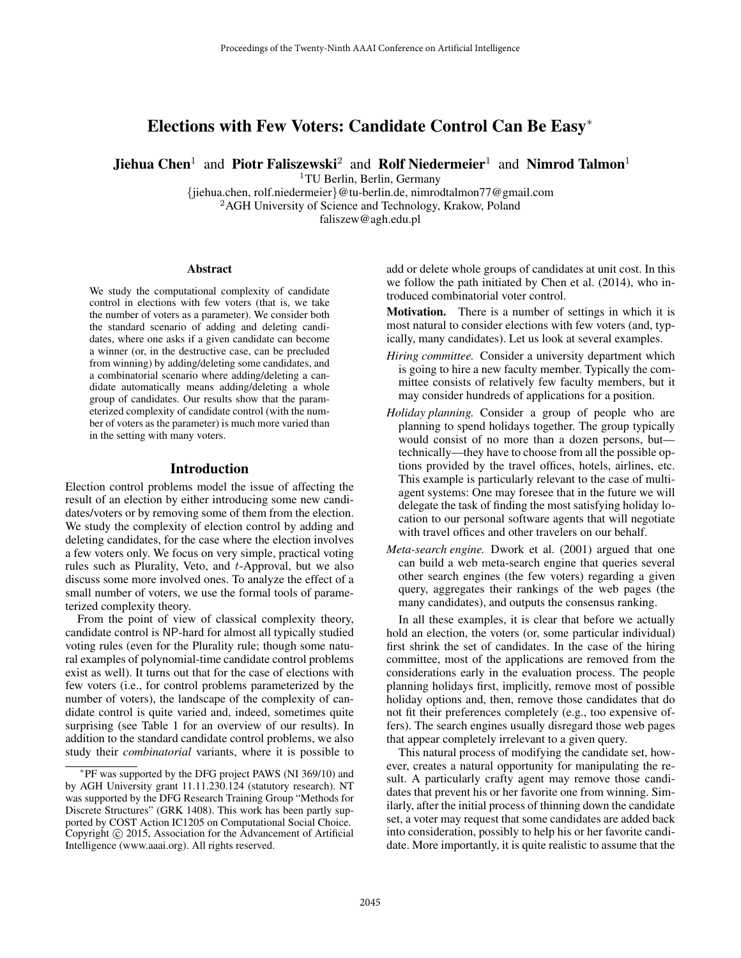# Elections with Few Voters: Candidate Control Can Be Easy<sup>∗</sup>

**Jiehua Chen<sup>1</sup>** and Piotr Faliszewski<sup>2</sup> and Rolf Niedermeier<sup>1</sup> and Nimrod Talmon<sup>1</sup>

<sup>1</sup>TU Berlin, Berlin, Germany

{jiehua.chen, rolf.niedermeier}@tu-berlin.de, nimrodtalmon77@gmail.com <sup>2</sup>AGH University of Science and Technology, Krakow, Poland faliszew@agh.edu.pl

#### Abstract

We study the computational complexity of candidate control in elections with few voters (that is, we take the number of voters as a parameter). We consider both the standard scenario of adding and deleting candidates, where one asks if a given candidate can become a winner (or, in the destructive case, can be precluded from winning) by adding/deleting some candidates, and a combinatorial scenario where adding/deleting a candidate automatically means adding/deleting a whole group of candidates. Our results show that the parameterized complexity of candidate control (with the number of voters as the parameter) is much more varied than in the setting with many voters.

# Introduction

Election control problems model the issue of affecting the result of an election by either introducing some new candidates/voters or by removing some of them from the election. We study the complexity of election control by adding and deleting candidates, for the case where the election involves a few voters only. We focus on very simple, practical voting rules such as Plurality, Veto, and t-Approval, but we also discuss some more involved ones. To analyze the effect of a small number of voters, we use the formal tools of parameterized complexity theory.

From the point of view of classical complexity theory, candidate control is NP-hard for almost all typically studied voting rules (even for the Plurality rule; though some natural examples of polynomial-time candidate control problems exist as well). It turns out that for the case of elections with few voters (i.e., for control problems parameterized by the number of voters), the landscape of the complexity of candidate control is quite varied and, indeed, sometimes quite surprising (see Table 1 for an overview of our results). In addition to the standard candidate control problems, we also study their *combinatorial* variants, where it is possible to

add or delete whole groups of candidates at unit cost. In this we follow the path initiated by Chen et al. (2014), who introduced combinatorial voter control.

Motivation. There is a number of settings in which it is most natural to consider elections with few voters (and, typically, many candidates). Let us look at several examples.

- *Hiring committee.* Consider a university department which is going to hire a new faculty member. Typically the committee consists of relatively few faculty members, but it may consider hundreds of applications for a position.
- *Holiday planning.* Consider a group of people who are planning to spend holidays together. The group typically would consist of no more than a dozen persons, but technically—they have to choose from all the possible options provided by the travel offices, hotels, airlines, etc. This example is particularly relevant to the case of multiagent systems: One may foresee that in the future we will delegate the task of finding the most satisfying holiday location to our personal software agents that will negotiate with travel offices and other travelers on our behalf.
- *Meta-search engine.* Dwork et al. (2001) argued that one can build a web meta-search engine that queries several other search engines (the few voters) regarding a given query, aggregates their rankings of the web pages (the many candidates), and outputs the consensus ranking.

In all these examples, it is clear that before we actually hold an election, the voters (or, some particular individual) first shrink the set of candidates. In the case of the hiring committee, most of the applications are removed from the considerations early in the evaluation process. The people planning holidays first, implicitly, remove most of possible holiday options and, then, remove those candidates that do not fit their preferences completely (e.g., too expensive offers). The search engines usually disregard those web pages that appear completely irrelevant to a given query.

This natural process of modifying the candidate set, however, creates a natural opportunity for manipulating the result. A particularly crafty agent may remove those candidates that prevent his or her favorite one from winning. Similarly, after the initial process of thinning down the candidate set, a voter may request that some candidates are added back into consideration, possibly to help his or her favorite candidate. More importantly, it is quite realistic to assume that the

<sup>∗</sup> PF was supported by the DFG project PAWS (NI 369/10) and by AGH University grant 11.11.230.124 (statutory research). NT was supported by the DFG Research Training Group "Methods for Discrete Structures" (GRK 1408). This work has been partly supported by COST Action IC1205 on Computational Social Choice. Copyright  $\odot$  2015, Association for the Advancement of Artificial Intelligence (www.aaai.org). All rights reserved.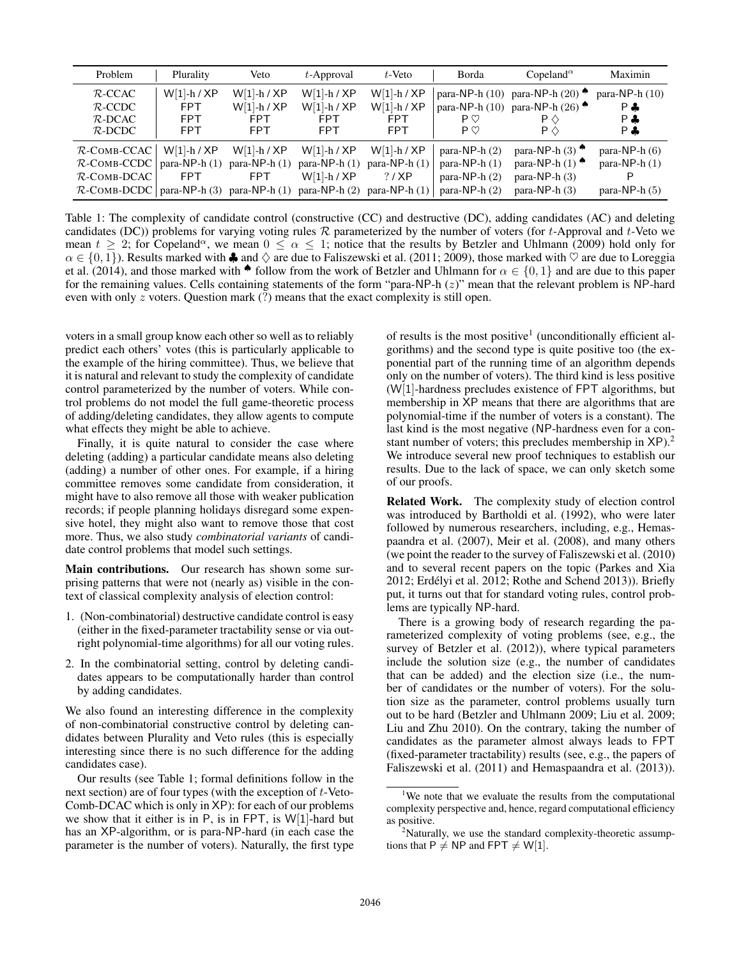| Problem                                                                                                            | Plurality                                               | Veto                                                       | $t$ -Approval                                              | t-Veto                                                                        | Borda                                                                    | Copeland <sup><math>\alpha</math></sup>                                                                                             | Maximin                                               |
|--------------------------------------------------------------------------------------------------------------------|---------------------------------------------------------|------------------------------------------------------------|------------------------------------------------------------|-------------------------------------------------------------------------------|--------------------------------------------------------------------------|-------------------------------------------------------------------------------------------------------------------------------------|-------------------------------------------------------|
| $R$ -CCAC<br>$R$ -CCDC<br>$R$ -DCAC<br>$R$ -DCDC                                                                   | $W[1]-h / XP$<br><b>FPT</b><br><b>FPT</b><br><b>FPT</b> | $W[1]-h / XP$<br>$W[1]-h / XP$<br><b>FPT</b><br><b>FPT</b> | $W[1]-h / XP$<br>$W[1]-h / XP$<br><b>FPT</b><br><b>FPT</b> | $W[1]-h / XP$<br>$W[1]-h / XP$<br><b>FPT</b><br><b>FPT</b>                    | $P$ $\heartsuit$<br>$P \circlearrowright$                                | para-NP-h $(10)$ para-NP-h $(20)$ $\bullet$<br>para-NP-h (10) para-NP-h (26) $\bullet$<br>$\mathsf{P} \diamondsuit$<br>$P \Diamond$ | para-NP- $h(10)$<br>P ♣<br>P ♣<br>P &                 |
| $R$ -COMB-CCAC<br>$R$ -COMB-CCDC<br>$R$ -COMB-DCAC<br>$\mathcal{R}\text{-Comb-DCDC}$   para-NP-h (3) para-NP-h (1) | $W[1]-h / XP$<br>para-NP- $h(1)$<br><b>FPT</b>          | $W[1]-h / XP$<br>para-NP- $h(1)$<br><b>FPT</b>             | $W[1]-h / XP$<br>para-NP- $h(1)$<br>$W[1]-h / XP$          | $W[1]-h / XP$<br>para-NP- $h(1)$<br>? / XP<br>para-NP-h $(2)$ para-NP-h $(1)$ | para-NP- $h(2)$<br>para-NP- $h(1)$<br>para-NP- $h(2)$<br>para-NP- $h(2)$ | para-NP-h $(3)$ <sup><math>\bullet</math></sup><br>para-NP-h $(1)$ $\bullet$<br>para-NP- $h(3)$<br>para-NP- $h(3)$                  | para-NP- $h(6)$<br>para-NP- $h(1)$<br>para-NP- $h(5)$ |

Table 1: The complexity of candidate control (constructive (CC) and destructive (DC), adding candidates (AC) and deleting candidates (DC)) problems for varying voting rules  $R$  parameterized by the number of voters (for t-Approval and t-Veto we mean  $t \geq 2$ ; for Copeland<sup> $\alpha$ </sup>, we mean  $0 \leq \alpha \leq 1$ ; notice that the results by Betzler and Uhlmann (2009) hold only for  $\alpha \in \{0,1\}$ ). Results marked with  $\clubsuit$  and  $\Diamond$  are due to Faliszewski et al. (2011; 2009), those marked with  $\heartsuit$  are due to Loreggia et al. (2014), and those marked with  $\bullet$  follow from the work of Betzler and Uhlmann for  $\alpha \in \{0,1\}$  and are due to this paper for the remaining values. Cells containing statements of the form "para-NP-h (z)" mean that the relevant problem is NP-hard even with only  $z$  voters. Question mark  $(?)$  means that the exact complexity is still open.

voters in a small group know each other so well as to reliably predict each others' votes (this is particularly applicable to the example of the hiring committee). Thus, we believe that it is natural and relevant to study the complexity of candidate control parameterized by the number of voters. While control problems do not model the full game-theoretic process of adding/deleting candidates, they allow agents to compute what effects they might be able to achieve.

Finally, it is quite natural to consider the case where deleting (adding) a particular candidate means also deleting (adding) a number of other ones. For example, if a hiring committee removes some candidate from consideration, it might have to also remove all those with weaker publication records; if people planning holidays disregard some expensive hotel, they might also want to remove those that cost more. Thus, we also study *combinatorial variants* of candidate control problems that model such settings.

Main contributions. Our research has shown some surprising patterns that were not (nearly as) visible in the context of classical complexity analysis of election control:

- 1. (Non-combinatorial) destructive candidate control is easy (either in the fixed-parameter tractability sense or via outright polynomial-time algorithms) for all our voting rules.
- 2. In the combinatorial setting, control by deleting candidates appears to be computationally harder than control by adding candidates.

We also found an interesting difference in the complexity of non-combinatorial constructive control by deleting candidates between Plurality and Veto rules (this is especially interesting since there is no such difference for the adding candidates case).

Our results (see Table 1; formal definitions follow in the next section) are of four types (with the exception of t-Veto-Comb-DCAC which is only in XP): for each of our problems we show that it either is in P, is in FPT, is W[1]-hard but has an XP-algorithm, or is para-NP-hard (in each case the parameter is the number of voters). Naturally, the first type

of results is the most positive<sup>1</sup> (unconditionally efficient algorithms) and the second type is quite positive too (the exponential part of the running time of an algorithm depends only on the number of voters). The third kind is less positive (W[1]-hardness precludes existence of FPT algorithms, but membership in XP means that there are algorithms that are polynomial-time if the number of voters is a constant). The last kind is the most negative (NP-hardness even for a constant number of voters; this precludes membership in XP).<sup>2</sup> We introduce several new proof techniques to establish our results. Due to the lack of space, we can only sketch some of our proofs.

Related Work. The complexity study of election control was introduced by Bartholdi et al. (1992), who were later followed by numerous researchers, including, e.g., Hemaspaandra et al. (2007), Meir et al. (2008), and many others (we point the reader to the survey of Faliszewski et al. (2010) and to several recent papers on the topic (Parkes and Xia 2012; Erdélyi et al. 2012; Rothe and Schend 2013)). Briefly put, it turns out that for standard voting rules, control problems are typically NP-hard.

There is a growing body of research regarding the parameterized complexity of voting problems (see, e.g., the survey of Betzler et al. (2012)), where typical parameters include the solution size (e.g., the number of candidates that can be added) and the election size (i.e., the number of candidates or the number of voters). For the solution size as the parameter, control problems usually turn out to be hard (Betzler and Uhlmann 2009; Liu et al. 2009; Liu and Zhu 2010). On the contrary, taking the number of candidates as the parameter almost always leads to FPT (fixed-parameter tractability) results (see, e.g., the papers of Faliszewski et al. (2011) and Hemaspaandra et al. (2013)).

<sup>&</sup>lt;sup>1</sup>We note that we evaluate the results from the computational complexity perspective and, hence, regard computational efficiency as positive.

<sup>&</sup>lt;sup>2</sup>Naturally, we use the standard complexity-theoretic assumptions that  $P \neq NP$  and  $FPT \neq W[1]$ .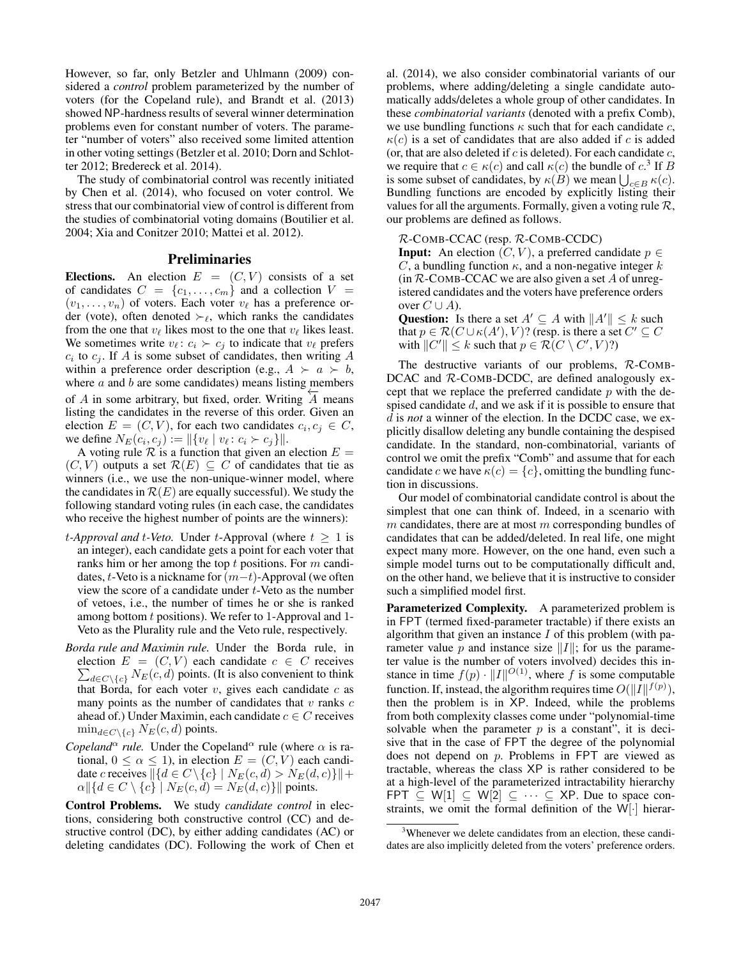However, so far, only Betzler and Uhlmann (2009) considered a *control* problem parameterized by the number of voters (for the Copeland rule), and Brandt et al. (2013) showed NP-hardness results of several winner determination problems even for constant number of voters. The parameter "number of voters" also received some limited attention in other voting settings (Betzler et al. 2010; Dorn and Schlotter 2012; Bredereck et al. 2014).

The study of combinatorial control was recently initiated by Chen et al. (2014), who focused on voter control. We stress that our combinatorial view of control is different from the studies of combinatorial voting domains (Boutilier et al. 2004; Xia and Conitzer 2010; Mattei et al. 2012).

#### Preliminaries

Elections. An election  $E = (C, V)$  consists of a set of candidates  $C = \{c_1, \ldots, c_m\}$  and a collection  $V =$  $(v_1, \ldots, v_n)$  of voters. Each voter  $v_\ell$  has a preference order (vote), often denoted  $\succ_{\ell}$ , which ranks the candidates from the one that  $v_\ell$  likes most to the one that  $v_\ell$  likes least. We sometimes write  $v_{\ell} : c_i \succ c_j$  to indicate that  $v_{\ell}$  prefers  $c_i$  to  $c_j$ . If A is some subset of candidates, then writing A within a preference order description (e.g.,  $A \succ a \succ b$ , where  $a$  and  $b$  are some candidates) means listing members of A in some arbitrary, but fixed, order. Writing  $\overleftrightarrow{A}$  means listing the candidates in the reverse of this order. Given an election  $E = (C, V)$ , for each two candidates  $c_i, c_j \in C$ , we define  $N_E(c_i, c_j) := ||\{v_\ell : v_\ell : c_i \succ c_j\}||.$ 

A voting rule  $\mathcal R$  is a function that given an election  $E =$  $(C, V)$  outputs a set  $\mathcal{R}(E) \subseteq C$  of candidates that tie as winners (i.e., we use the non-unique-winner model, where the candidates in  $\mathcal{R}(E)$  are equally successful). We study the following standard voting rules (in each case, the candidates who receive the highest number of points are the winners):

- *t*-Approval and *t*-Veto. Under *t*-Approval (where  $t \geq 1$  is an integer), each candidate gets a point for each voter that ranks him or her among the top  $t$  positions. For  $m$  candidates, t-Veto is a nickname for  $(m-t)$ -Approval (we often view the score of a candidate under t-Veto as the number of vetoes, i.e., the number of times he or she is ranked among bottom t positions). We refer to 1-Approval and 1- Veto as the Plurality rule and the Veto rule, respectively.
- *Borda rule and Maximin rule.* Under the Borda rule, in election  $E = (C, V)$  each candidate  $c \in C$  receives  $\sum_{d \in C \setminus \{c\}} N_E(c, d)$  points. (It is also convenient to think that Borda, for each voter  $v$ , gives each candidate  $c$  as many points as the number of candidates that  $v$  ranks  $c$ ahead of.) Under Maximin, each candidate  $c \in C$  receives  $\min_{d \in C \setminus \{c\}} N_E(c, d)$  points.
- *Copeland*<sup> $\alpha$ </sup> *rule.* Under the Copeland<sup> $\alpha$ </sup> rule (where  $\alpha$  is rational,  $0 \le \alpha \le 1$ ), in election  $E = (C, V)$  each candidate c receives  $\left\| \{d \in C \setminus \{c\} \mid N_E(c, d) > N_E(d, c)\} \right\|+$  $\alpha$ ||{ $d \in C \setminus \{c\}$ |  $N_E(c, d) = N_E(d, c)$ }|| points.

Control Problems. We study *candidate control* in elections, considering both constructive control (CC) and destructive control (DC), by either adding candidates (AC) or deleting candidates (DC). Following the work of Chen et al. (2014), we also consider combinatorial variants of our problems, where adding/deleting a single candidate automatically adds/deletes a whole group of other candidates. In these *combinatorial variants* (denoted with a prefix Comb), we use bundling functions  $\kappa$  such that for each candidate  $c$ ,  $\kappa(c)$  is a set of candidates that are also added if c is added (or, that are also deleted if  $c$  is deleted). For each candidate  $c$ , we require that  $c \in \kappa(c)$  and call  $\kappa(c)$  the bundle of  $c^3$  If B is some subset of candidates, by  $\kappa(B)$  we mean  $\bigcup_{c \in B} \kappa(c)$ . Bundling functions are encoded by explicitly listing their values for all the arguments. Formally, given a voting rule  $\mathcal{R}$ , our problems are defined as follows.

#### R-COMB-CCAC (resp. R-COMB-CCDC)

**Input:** An election  $(C, V)$ , a preferred candidate  $p \in$ C, a bundling function  $\kappa$ , and a non-negative integer k  $(in R\text{-COMB-CCAC we are also given a set } A \text{ of unreg-}$ istered candidates and the voters have preference orders over  $C \cup A$ ).

Question: Is there a set  $A' \subseteq A$  with  $||A'|| \leq k$  such that  $p \in \mathcal{R}(C \cup \kappa(A'), V)$ ? (resp. is there a set  $C' \subseteq C$ with  $||C'|| \leq k$  such that  $p \in \mathcal{R}(C \setminus C', V)$ ?)

The destructive variants of our problems, R-COMB-DCAC and R-COMB-DCDC, are defined analogously except that we replace the preferred candidate  $p$  with the despised candidate d, and we ask if it is possible to ensure that d is *not* a winner of the election. In the DCDC case, we explicitly disallow deleting any bundle containing the despised candidate. In the standard, non-combinatorial, variants of control we omit the prefix "Comb" and assume that for each candidate c we have  $\kappa(c) = \{c\}$ , omitting the bundling function in discussions.

Our model of combinatorial candidate control is about the simplest that one can think of. Indeed, in a scenario with  $m$  candidates, there are at most  $m$  corresponding bundles of candidates that can be added/deleted. In real life, one might expect many more. However, on the one hand, even such a simple model turns out to be computationally difficult and, on the other hand, we believe that it is instructive to consider such a simplified model first.

Parameterized Complexity. A parameterized problem is in FPT (termed fixed-parameter tractable) if there exists an algorithm that given an instance  $I$  of this problem (with parameter value p and instance size  $||I||$ ; for us the parameter value is the number of voters involved) decides this instance in time  $f(p) \cdot ||I||^{O(1)}$ , where f is some computable function. If, instead, the algorithm requires time  $O(||I||^{f(p)})$ , then the problem is in XP. Indeed, while the problems from both complexity classes come under "polynomial-time solvable when the parameter  $p$  is a constant", it is decisive that in the case of FPT the degree of the polynomial does not depend on p. Problems in FPT are viewed as tractable, whereas the class XP is rather considered to be at a high-level of the parameterized intractability hierarchy FPT  $\subseteq W[1] \subseteq W[2] \subseteq \cdots \subseteq XP$ . Due to space constraints, we omit the formal definition of the W[·] hierar-

<sup>&</sup>lt;sup>3</sup>Whenever we delete candidates from an election, these candidates are also implicitly deleted from the voters' preference orders.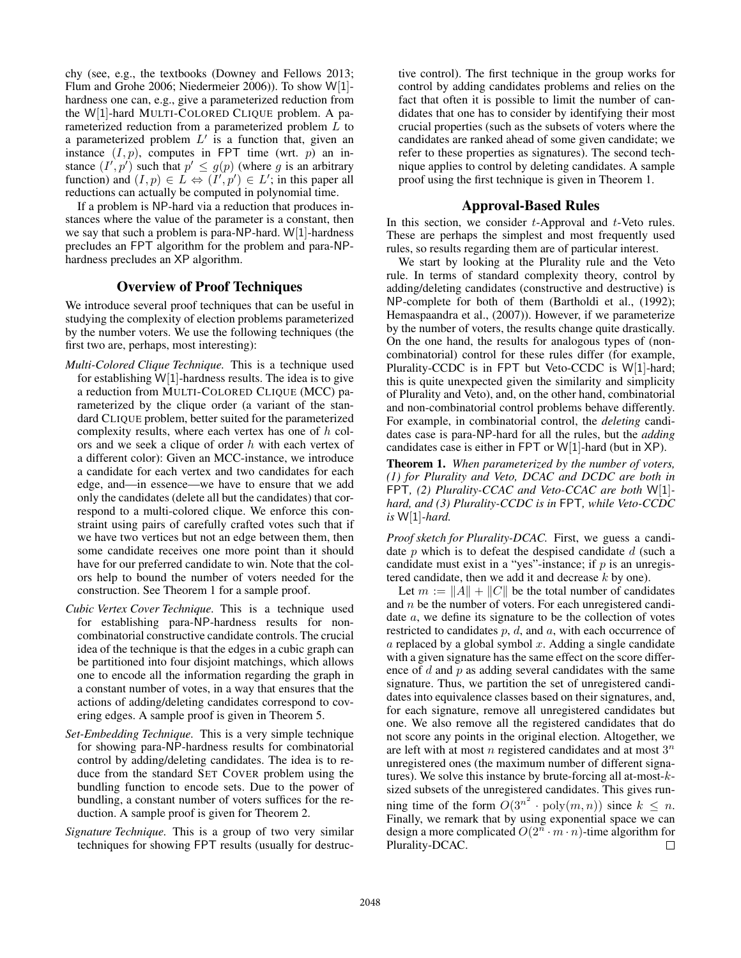chy (see, e.g., the textbooks (Downey and Fellows 2013; Flum and Grohe 2006; Niedermeier 2006)). To show W[1] hardness one can, e.g., give a parameterized reduction from the W[1]-hard MULTI-COLORED CLIQUE problem. A parameterized reduction from a parameterized problem L to a parameterized problem  $L'$  is a function that, given an instance  $(I, p)$ , computes in FPT time (wrt. p) an instance  $(I', p')$  such that  $p' \leq g(p)$  (where g is an arbitrary function) and  $(I, p) \in L \Leftrightarrow (I', p') \in L'$ ; in this paper all reductions can actually be computed in polynomial time.

If a problem is NP-hard via a reduction that produces instances where the value of the parameter is a constant, then we say that such a problem is para-NP-hard. W[1]-hardness precludes an FPT algorithm for the problem and para-NPhardness precludes an XP algorithm.

# Overview of Proof Techniques

We introduce several proof techniques that can be useful in studying the complexity of election problems parameterized by the number voters. We use the following techniques (the first two are, perhaps, most interesting):

- *Multi-Colored Clique Technique.* This is a technique used for establishing  $W[1]$ -hardness results. The idea is to give a reduction from MULTI-COLORED CLIQUE (MCC) parameterized by the clique order (a variant of the standard CLIQUE problem, better suited for the parameterized complexity results, where each vertex has one of h colors and we seek a clique of order  $h$  with each vertex of a different color): Given an MCC-instance, we introduce a candidate for each vertex and two candidates for each edge, and—in essence—we have to ensure that we add only the candidates (delete all but the candidates) that correspond to a multi-colored clique. We enforce this constraint using pairs of carefully crafted votes such that if we have two vertices but not an edge between them, then some candidate receives one more point than it should have for our preferred candidate to win. Note that the colors help to bound the number of voters needed for the construction. See Theorem 1 for a sample proof.
- *Cubic Vertex Cover Technique.* This is a technique used for establishing para-NP-hardness results for noncombinatorial constructive candidate controls. The crucial idea of the technique is that the edges in a cubic graph can be partitioned into four disjoint matchings, which allows one to encode all the information regarding the graph in a constant number of votes, in a way that ensures that the actions of adding/deleting candidates correspond to covering edges. A sample proof is given in Theorem 5.
- *Set-Embedding Technique.* This is a very simple technique for showing para-NP-hardness results for combinatorial control by adding/deleting candidates. The idea is to reduce from the standard SET COVER problem using the bundling function to encode sets. Due to the power of bundling, a constant number of voters suffices for the reduction. A sample proof is given for Theorem 2.
- *Signature Technique.* This is a group of two very similar techniques for showing FPT results (usually for destruc-

tive control). The first technique in the group works for control by adding candidates problems and relies on the fact that often it is possible to limit the number of candidates that one has to consider by identifying their most crucial properties (such as the subsets of voters where the candidates are ranked ahead of some given candidate; we refer to these properties as signatures). The second technique applies to control by deleting candidates. A sample proof using the first technique is given in Theorem 1.

#### Approval-Based Rules

In this section, we consider  $t$ -Approval and  $t$ -Veto rules. These are perhaps the simplest and most frequently used rules, so results regarding them are of particular interest.

We start by looking at the Plurality rule and the Veto rule. In terms of standard complexity theory, control by adding/deleting candidates (constructive and destructive) is NP-complete for both of them (Bartholdi et al., (1992); Hemaspaandra et al., (2007)). However, if we parameterize by the number of voters, the results change quite drastically. On the one hand, the results for analogous types of (noncombinatorial) control for these rules differ (for example, Plurality-CCDC is in FPT but Veto-CCDC is W[1]-hard; this is quite unexpected given the similarity and simplicity of Plurality and Veto), and, on the other hand, combinatorial and non-combinatorial control problems behave differently. For example, in combinatorial control, the *deleting* candidates case is para-NP-hard for all the rules, but the *adding* candidates case is either in FPT or W[1]-hard (but in XP).

Theorem 1. *When parameterized by the number of voters, (1) for Plurality and Veto, DCAC and DCDC are both in* FPT*, (2) Plurality-CCAC and Veto-CCAC are both* W[1] *hard, and (3) Plurality-CCDC is in* FPT*, while Veto-CCDC is* W[1]*-hard.*

*Proof sketch for Plurality-DCAC.* First, we guess a candidate  $p$  which is to defeat the despised candidate  $d$  (such a candidate must exist in a "yes"-instance; if  $p$  is an unregistered candidate, then we add it and decrease  $k$  by one).

Let  $m := ||A|| + ||C||$  be the total number of candidates and n be the number of voters. For each unregistered candidate a, we define its signature to be the collection of votes restricted to candidates  $p$ ,  $d$ , and  $a$ , with each occurrence of  $a$  replaced by a global symbol  $x$ . Adding a single candidate with a given signature has the same effect on the score difference of  $d$  and  $p$  as adding several candidates with the same signature. Thus, we partition the set of unregistered candidates into equivalence classes based on their signatures, and, for each signature, remove all unregistered candidates but one. We also remove all the registered candidates that do not score any points in the original election. Altogether, we are left with at most  $n$  registered candidates and at most  $3^n$ unregistered ones (the maximum number of different signatures). We solve this instance by brute-forcing all at-most- $k$ sized subsets of the unregistered candidates. This gives running time of the form  $O(3^{n^2} \cdot \text{poly}(m, n))$  since  $k \leq n$ . Finally, we remark that by using exponential space we can design a more complicated  $O(2^n \cdot m \cdot n)$ -time algorithm for Plurality-DCAC.  $\Box$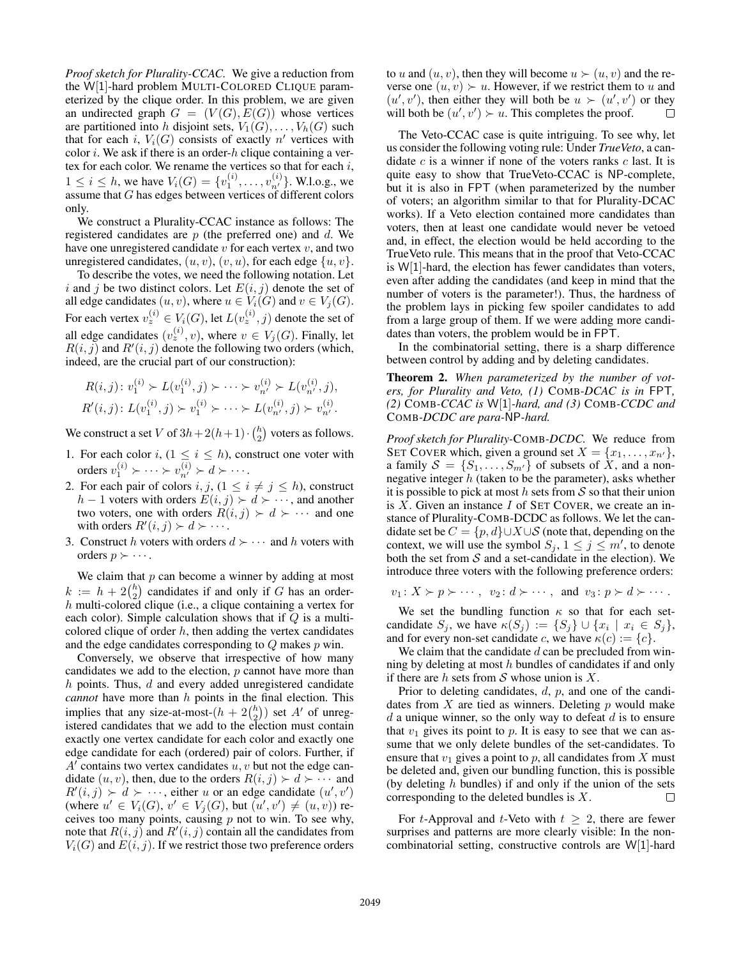*Proof sketch for Plurality-CCAC.* We give a reduction from the W[1]-hard problem MULTI-COLORED CLIQUE parameterized by the clique order. In this problem, we are given an undirected graph  $G = (V(G), E(G))$  whose vertices are partitioned into h disjoint sets,  $V_1(G), \ldots, V_h(G)$  such that for each i,  $V_i(G)$  consists of exactly n' vertices with color  $i$ . We ask if there is an order- $h$  clique containing a vertex for each color. We rename the vertices so that for each  $i$ ,  $1 \le i \le h$ , we have  $V_i(G) = \{v_1^{(i)}, \ldots, v_{n'}^{(i)}\}$ . W.l.o.g., we assume that  $G$  has edges between vertices of different colors only.

We construct a Plurality-CCAC instance as follows: The registered candidates are  $p$  (the preferred one) and  $d$ . We have one unregistered candidate  $v$  for each vertex  $v$ , and two unregistered candidates,  $(u, v)$ ,  $(v, u)$ , for each edge  $\{u, v\}$ .

To describe the votes, we need the following notation. Let i and j be two distinct colors. Let  $E(i, j)$  denote the set of all edge candidates  $(u, v)$ , where  $u \in V_i(G)$  and  $v \in V_j(G)$ . For each vertex  $v_z^{(i)} \in V_i(G)$ , let  $L(v_z^{(i)}, j)$  denote the set of all edge candidates  $(v_z^{(i)}, v)$ , where  $v \in V_j(G)$ . Finally, let  $R(i, j)$  and  $R'(i, j)$  denote the following two orders (which, indeed, are the crucial part of our construction):

$$
R(i,j): v_1^{(i)} \succ L(v_1^{(i)}, j) \succ \cdots \succ v_{n'}^{(i)} \succ L(v_{n'}^{(i)}, j),
$$
  

$$
R'(i,j): L(v_1^{(i)}, j) \succ v_1^{(i)} \succ \cdots \succ L(v_{n'}^{(i)}, j) \succ v_{n'}^{(i)}.
$$

We construct a set V of  $3h + 2(h+1) \cdot {h \choose 2}$  voters as follows.

- 1. For each color i,  $(1 \le i \le h)$ , construct one voter with orders  $v_1^{(i)} \succ \cdots \succ v_{n'}^{(i)} \succ d \succ \cdots$ .
- 2. For each pair of colors i, j,  $(1 \le i \ne j \le h)$ , construct  $h-1$  voters with orders  $E(i, j)$  ≻  $d$  ≻ ···, and another two voters, one with orders  $R(i, j) \succ d \succ \cdots$  and one with orders  $R'(i, j) \succ d \succ \cdots$ .
- 3. Construct h voters with orders  $d \succ \cdots$  and h voters with orders  $p \succ \cdots$ .

We claim that  $p$  can become a winner by adding at most  $k := h + 2\binom{h}{2}$  candidates if and only if G has an order $h$  multi-colored clique (i.e., a clique containing a vertex for each color). Simple calculation shows that if  $Q$  is a multicolored clique of order  $h$ , then adding the vertex candidates and the edge candidates corresponding to Q makes p win.

Conversely, we observe that irrespective of how many candidates we add to the election,  $p$  cannot have more than  $h$  points. Thus,  $d$  and every added unregistered candidate *cannot* have more than h points in the final election. This implies that any size-at-most- $(h + 2\binom{h}{2})$  set A' of unregistered candidates that we add to the election must contain exactly one vertex candidate for each color and exactly one edge candidate for each (ordered) pair of colors. Further, if  $A'$  contains two vertex candidates  $u, v$  but not the edge candidate  $(u, v)$ , then, due to the orders  $R(i, j) \succ d \succ \cdots$  and  $R'(i, j) \succ d \succ \cdots$ , either u or an edge candidate  $(u', v')$ (where  $u' \in V_i(G)$ ,  $v' \in V_j(G)$ , but  $(u', v') \neq (u, v)$ ) receives too many points, causing  $p$  not to win. To see why, note that  $R(i, j)$  and  $R'(i, j)$  contain all the candidates from  $V_i(G)$  and  $E(i, j)$ . If we restrict those two preference orders to u and  $(u, v)$ , then they will become  $u \succ (u, v)$  and the reverse one  $(u, v) \succ u$ . However, if we restrict them to u and  $(u', v')$ , then either they will both be  $u \succ (u', v')$  or they will both be  $(u', v') \succ u$ . This completes the proof. П

The Veto-CCAC case is quite intriguing. To see why, let us consider the following voting rule: Under *TrueVeto*, a candidate  $c$  is a winner if none of the voters ranks  $c$  last. It is quite easy to show that TrueVeto-CCAC is NP-complete, but it is also in FPT (when parameterized by the number of voters; an algorithm similar to that for Plurality-DCAC works). If a Veto election contained more candidates than voters, then at least one candidate would never be vetoed and, in effect, the election would be held according to the TrueVeto rule. This means that in the proof that Veto-CCAC is W[1]-hard, the election has fewer candidates than voters, even after adding the candidates (and keep in mind that the number of voters is the parameter!). Thus, the hardness of the problem lays in picking few spoiler candidates to add from a large group of them. If we were adding more candidates than voters, the problem would be in FPT.

In the combinatorial setting, there is a sharp difference between control by adding and by deleting candidates.

Theorem 2. *When parameterized by the number of voters, for Plurality and Veto, (1)* COMB*-DCAC is in* FPT*, (2)* COMB*-CCAC is* W[1]*-hard, and (3)* COMB*-CCDC and* COMB*-DCDC are para-*NP*-hard.*

*Proof sketch for Plurality-*COMB*-DCDC.* We reduce from SET COVER which, given a ground set  $X = \{x_1, \ldots, x_{n'}\},\$ a family  $S = \{S_1, \ldots, S_{m'}\}$  of subsets of  $X$ , and a nonnegative integer  $h$  (taken to be the parameter), asks whether it is possible to pick at most h sets from  $S$  so that their union is  $X$ . Given an instance  $I$  of SET COVER, we create an instance of Plurality-COMB-DCDC as follows. We let the candidate set be  $C = \{p, d\} \cup X \cup S$  (note that, depending on the context, we will use the symbol  $S_j$ ,  $1 \leq j \leq m'$ , to denote both the set from  $S$  and a set-candidate in the election). We introduce three voters with the following preference orders:

$$
v_1: X \succ p \succ \cdots
$$
,  $v_2: d \succ \cdots$ , and  $v_3: p \succ d \succ \cdots$ .

We set the bundling function  $\kappa$  so that for each setcandidate  $S_j$ , we have  $\kappa(S_j) := \{S_j\} \cup \{x_i \mid x_i \in S_j\},\$ and for every non-set candidate c, we have  $\kappa(c) := \{c\}.$ 

We claim that the candidate  $d$  can be precluded from winning by deleting at most  $h$  bundles of candidates if and only if there are h sets from  $S$  whose union is  $X$ .

Prior to deleting candidates, d, p, and one of the candidates from  $X$  are tied as winners. Deleting  $p$  would make  $d$  a unique winner, so the only way to defeat  $d$  is to ensure that  $v_1$  gives its point to p. It is easy to see that we can assume that we only delete bundles of the set-candidates. To ensure that  $v_1$  gives a point to p, all candidates from X must be deleted and, given our bundling function, this is possible (by deleting  $h$  bundles) if and only if the union of the sets corresponding to the deleted bundles is X. П

For t-Approval and t-Veto with  $t \geq 2$ , there are fewer surprises and patterns are more clearly visible: In the noncombinatorial setting, constructive controls are W[1]-hard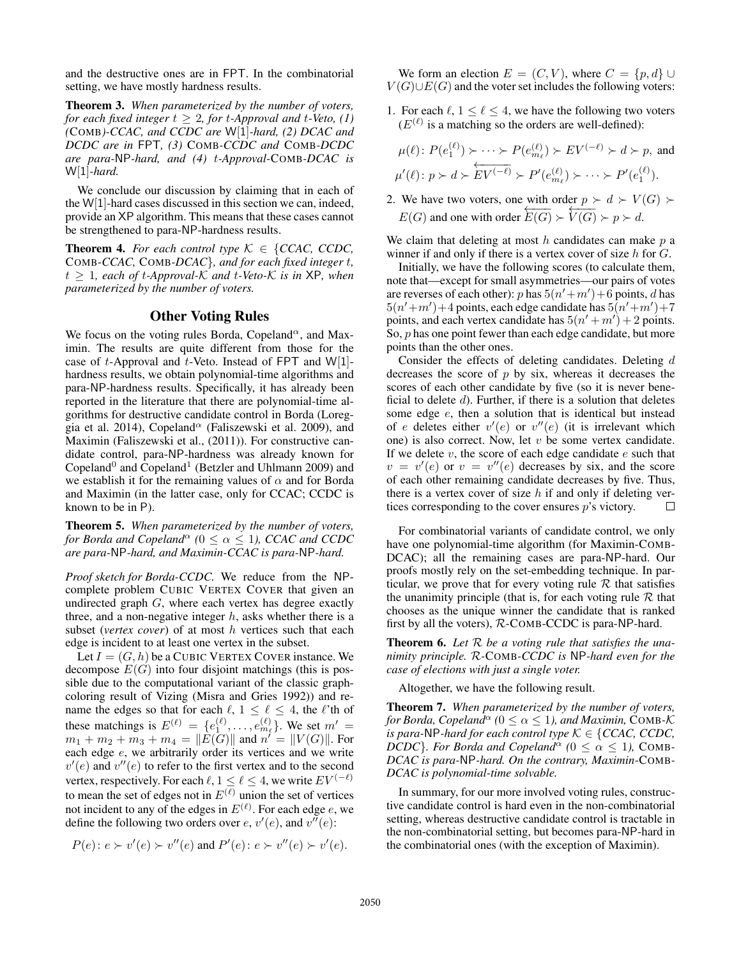and the destructive ones are in FPT. In the combinatorial setting, we have mostly hardness results.

Theorem 3. *When parameterized by the number of voters, for each fixed integer*  $t \geq 2$ *, for t-Approval and t-Veto, (1) (*COMB*)-CCAC, and CCDC are* W[1]*-hard, (2) DCAC and DCDC are in* FPT*, (3)* COMB*-CCDC and* COMB*-DCDC are para-*NP*-hard, and (4)* t*-Approval-*COMB*-DCAC is* W[1]*-hard.*

We conclude our discussion by claiming that in each of the W[1]-hard cases discussed in this section we can, indeed, provide an XP algorithm. This means that these cases cannot be strengthened to para-NP-hardness results.

**Theorem 4.** *For each control type*  $K \in \{CCAC, CCDC,$ COMB*-CCAC,* COMB*-DCAC*}*, and for each fixed integer* t*,*  $t \geq 1$ *, each of t-Approval-K and t-Veto-K is in* XP, when *parameterized by the number of voters.*

# Other Voting Rules

We focus on the voting rules Borda, Copeland<sup> $\alpha$ </sup>, and Maximin. The results are quite different from those for the case of t-Approval and t-Veto. Instead of FPT and  $W[1]$ hardness results, we obtain polynomial-time algorithms and para-NP-hardness results. Specifically, it has already been reported in the literature that there are polynomial-time algorithms for destructive candidate control in Borda (Loreggia et al. 2014), Copeland<sup> $\alpha$ </sup> (Faliszewski et al. 2009), and Maximin (Faliszewski et al., (2011)). For constructive candidate control, para-NP-hardness was already known for Copeland<sup>0</sup> and Copeland<sup>1</sup> (Betzler and Uhlmann 2009) and we establish it for the remaining values of  $\alpha$  and for Borda and Maximin (in the latter case, only for CCAC; CCDC is known to be in P).

Theorem 5. *When parameterized by the number of voters, for Borda and Copeland*<sup> $\alpha$ </sup> ( $0 \leq \alpha \leq 1$ ), *CCAC and CCDC are para-*NP*-hard, and Maximin-CCAC is para-*NP*-hard.*

*Proof sketch for Borda-CCDC.* We reduce from the NPcomplete problem CUBIC VERTEX COVER that given an undirected graph  $G$ , where each vertex has degree exactly three, and a non-negative integer  $h$ , asks whether there is a subset (*vertex cover*) of at most h vertices such that each edge is incident to at least one vertex in the subset.

Let  $I = (G, h)$  be a CUBIC VERTEX COVER instance. We decompose  $E(G)$  into four disjoint matchings (this is possible due to the computational variant of the classic graphcoloring result of Vizing (Misra and Gries 1992)) and rename the edges so that for each  $\ell$ ,  $1 \leq \ell \leq 4$ , the  $\ell$ 'th of these matchings is  $E^{(\ell)} = \{e_1^{(\ell)}, \dots, e_{m_\ell}^{(\ell)}\}$ . We set  $m' =$  $m_1 + m_2 + m_3 + m_4 = ||\tilde{E}(G)||$  and  $n' = ||V(G)||$ . For each edge e, we arbitrarily order its vertices and we write  $v'(e)$  and  $v''(e)$  to refer to the first vertex and to the second vertex, respectively. For each  $\ell$ ,  $1 \leq \ell \leq 4$ , we write  $EV^{(-\ell)}$ to mean the set of edges not in  $E^{(\overline{\ell})}$  union the set of vertices not incident to any of the edges in  $E^{(\ell)}$ . For each edge e, we define the following two orders over  $e, v'(e)$ , and  $v''(e)$ :

$$
P(e): e \succ v'(e) \succ v''(e)
$$
 and  $P'(e): e \succ v''(e) \succ v'(e)$ .

We form an election  $E = (C, V)$ , where  $C = \{p, d\} \cup$  $V(G) \cup E(G)$  and the voter set includes the following voters:

1. For each  $\ell$ ,  $1 \leq \ell \leq 4$ , we have the following two voters  $(E^{(\ell)})$  is a matching so the orders are well-defined):

$$
\mu(\ell) \colon P(e_1^{(\ell)}) \succ \cdots \succ P(e_{m_\ell}^{(\ell)}) \succ EV^{(-\ell)} \succ d \succ p, \text{ and}
$$
  

$$
\mu'(\ell) \colon p \succ d \succ \text{EV}^{(-\ell)} \succ P'(e_{m_\ell}^{(\ell)}) \succ \cdots \succ P'(e_1^{(\ell)}).
$$

2. We have two voters, one with order  $p \succ d \succ V(G)$  $E(G)$  and one with order  $E(G) \succ V(G) \succ p \succ d$ .

We claim that deleting at most  $h$  candidates can make  $p$  a winner if and only if there is a vertex cover of size  $h$  for  $G$ .

Initially, we have the following scores (to calculate them, note that—except for small asymmetries—our pairs of votes are reverses of each other): p has  $5(n'+m')+6$  points, d has  $5(n'+m')+4$  points, each edge candidate has  $5(n'+m')+7$ points, and each vertex candidate has  $5(n' + m') + 2$  points. So,  $p$  has one point fewer than each edge candidate, but more points than the other ones.

Consider the effects of deleting candidates. Deleting d decreases the score of  $p$  by six, whereas it decreases the scores of each other candidate by five (so it is never beneficial to delete  $d$ ). Further, if there is a solution that deletes some edge e, then a solution that is identical but instead of e deletes either  $v'(e)$  or  $v''(e)$  (it is irrelevant which one) is also correct. Now, let  $v$  be some vertex candidate. If we delete  $v$ , the score of each edge candidate  $e$  such that  $v = v'(e)$  or  $v = v''(e)$  decreases by six, and the score of each other remaining candidate decreases by five. Thus, there is a vertex cover of size  $h$  if and only if deleting vertices corresponding to the cover ensures p's victory.  $\Box$ 

For combinatorial variants of candidate control, we only have one polynomial-time algorithm (for Maximin-COMB-DCAC); all the remaining cases are para-NP-hard. Our proofs mostly rely on the set-embedding technique. In particular, we prove that for every voting rule  $R$  that satisfies the unanimity principle (that is, for each voting rule  $R$  that chooses as the unique winner the candidate that is ranked first by all the voters), R-COMB-CCDC is para-NP-hard.

Theorem 6. *Let* R *be a voting rule that satisfies the unanimity principle.* R*-*COMB*-CCDC is* NP*-hard even for the case of elections with just a single voter.*

Altogether, we have the following result.

Theorem 7. *When parameterized by the number of voters, for Borda, Copeland*<sup> $\alpha$ </sup> ( $0 \leq \alpha \leq 1$ *), and Maximin, COMB-K is para-NP-hard for each control type*  $K \in \{CCAC, CCDC,$ *DCDC*}*. For Borda and Copeland*<sup> $\alpha$ </sup> ( $0 \leq \alpha \leq 1$ ), COMB-*DCAC is para-*NP*-hard. On the contrary, Maximin-*COMB*-DCAC is polynomial-time solvable.*

In summary, for our more involved voting rules, constructive candidate control is hard even in the non-combinatorial setting, whereas destructive candidate control is tractable in the non-combinatorial setting, but becomes para-NP-hard in the combinatorial ones (with the exception of Maximin).